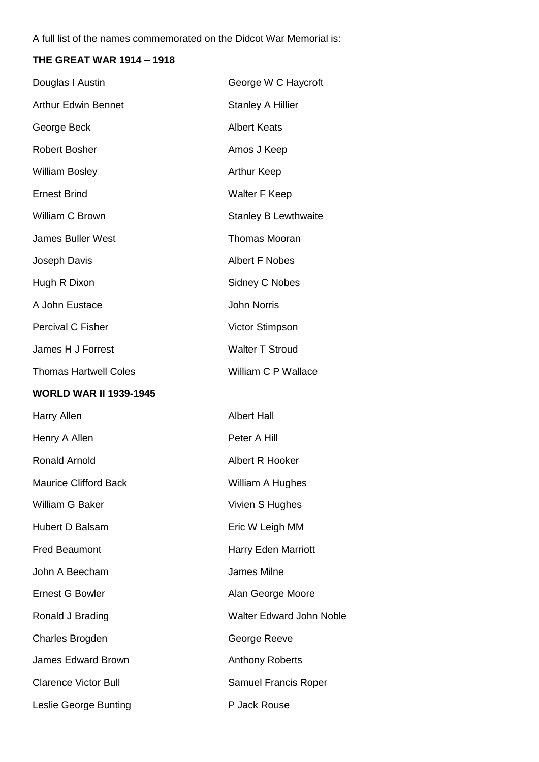A full list of the names commemorated on the Didcot War Memorial is:

## **THE GREAT WAR 1914 – 1918**

| Douglas I Austin              | George W C Haycroft             |
|-------------------------------|---------------------------------|
| <b>Arthur Edwin Bennet</b>    | <b>Stanley A Hillier</b>        |
| George Beck                   | <b>Albert Keats</b>             |
| <b>Robert Bosher</b>          | Amos J Keep                     |
| <b>William Bosley</b>         | <b>Arthur Keep</b>              |
| <b>Ernest Brind</b>           | <b>Walter F Keep</b>            |
| William C Brown               | <b>Stanley B Lewthwaite</b>     |
| <b>James Buller West</b>      | <b>Thomas Mooran</b>            |
| Joseph Davis                  | <b>Albert F Nobes</b>           |
| Hugh R Dixon                  | Sidney C Nobes                  |
| A John Eustace                | <b>John Norris</b>              |
| Percival C Fisher             | Victor Stimpson                 |
| James H J Forrest             | <b>Walter T Stroud</b>          |
| <b>Thomas Hartwell Coles</b>  | William C P Wallace             |
| <b>WORLD WAR II 1939-1945</b> |                                 |
| <b>Harry Allen</b>            | <b>Albert Hall</b>              |
| Henry A Allen                 | Peter A Hill                    |
| <b>Ronald Arnold</b>          | Albert R Hooker                 |
| <b>Maurice Clifford Back</b>  | William A Hughes                |
| William G Baker               | Vivien S Hughes                 |
| Hubert D Balsam               | Eric W Leigh MM                 |
| <b>Fred Beaumont</b>          | <b>Harry Eden Marriott</b>      |
| John A Beecham                | <b>James Milne</b>              |
| <b>Ernest G Bowler</b>        | Alan George Moore               |
| Ronald J Brading              | <b>Walter Edward John Noble</b> |
| Charles Brogden               | George Reeve                    |
| <b>James Edward Brown</b>     | <b>Anthony Roberts</b>          |
| <b>Clarence Victor Bull</b>   | Samuel Francis Roper            |
| Leslie George Bunting         | P Jack Rouse                    |